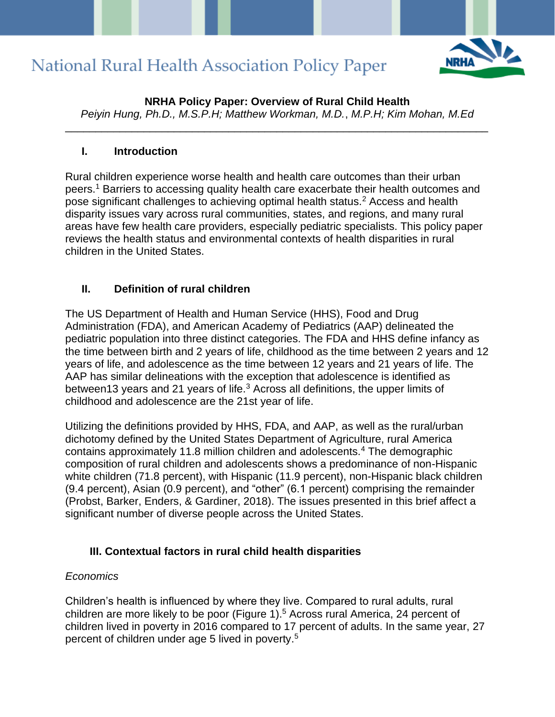

**NRHA Policy Paper: Overview of Rural Child Health** *Peiyin Hung, Ph.D., M.S.P.H; Matthew Workman, M.D.*, *M.P.H; Kim Mohan, M.Ed*

\_\_\_\_\_\_\_\_\_\_\_\_\_\_\_\_\_\_\_\_\_\_\_\_\_\_\_\_\_\_\_\_\_\_\_\_\_\_\_\_\_\_\_\_\_\_\_\_\_\_\_\_\_\_\_\_\_\_\_\_\_\_\_\_\_\_\_\_\_\_

#### **I. Introduction**

Rural children experience worse health and health care outcomes than their urban peers.<sup>1</sup> Barriers to accessing quality health care exacerbate their health outcomes and pose significant challenges to achieving optimal health status.<sup>2</sup> Access and health disparity issues vary across rural communities, states, and regions, and many rural areas have few health care providers, especially pediatric specialists. This policy paper reviews the health status and environmental contexts of health disparities in rural children in the United States.

### **II. Definition of rural children**

The US Department of Health and Human Service (HHS), Food and Drug Administration (FDA), and American Academy of Pediatrics (AAP) delineated the pediatric population into three distinct categories. The FDA and HHS define infancy as the time between birth and 2 years of life, childhood as the time between 2 years and 12 years of life, and adolescence as the time between 12 years and 21 years of life. The AAP has similar delineations with the exception that adolescence is identified as between13 years and 21 years of life.<sup>3</sup> Across all definitions, the upper limits of childhood and adolescence are the 21st year of life.

Utilizing the definitions provided by HHS, FDA, and AAP, as well as the rural/urban dichotomy defined by the United States Department of Agriculture, rural America contains approximately 11.8 million children and adolescents.<sup>4</sup> The demographic composition of rural children and adolescents shows a predominance of non-Hispanic white children (71.8 percent), with Hispanic (11.9 percent), non-Hispanic black children (9.4 percent), Asian (0.9 percent), and "other" (6.1 percent) comprising the remainder (Probst, Barker, Enders, & Gardiner, 2018). The issues presented in this brief affect a significant number of diverse people across the United States.

### **III. Contextual factors in rural child health disparities**

#### *Economics*

Children's health is influenced by where they live. Compared to rural adults, rural children are more likely to be poor (Figure 1).<sup>5</sup> Across rural America, 24 percent of children lived in poverty in 2016 compared to 17 percent of adults. In the same year, 27 percent of children under age 5 lived in poverty. 5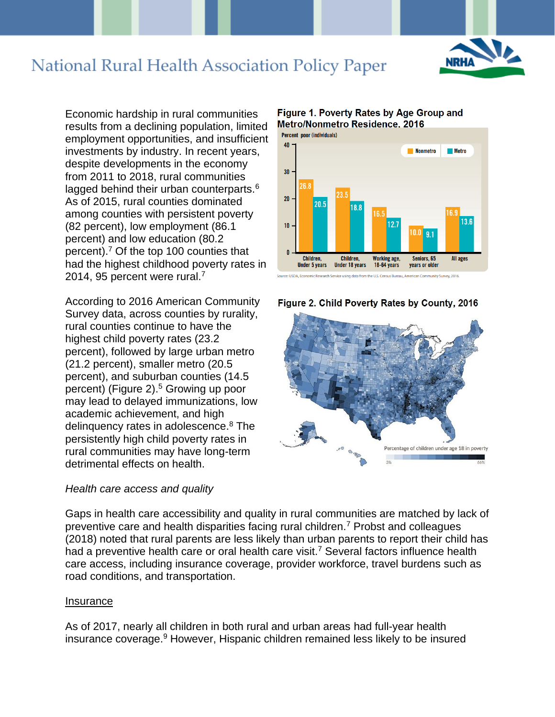

Economic hardship in rural communities results from a declining population, limited employment opportunities, and insufficient investments by industry. In recent years, despite developments in the economy from 2011 to 2018, rural communities lagged behind their urban counterparts.<sup>6</sup> As of 2015, rural counties dominated among counties with persistent poverty (82 percent), low employment (86.1 percent) and low education (80.2 percent).<sup>7</sup> Of the top 100 counties that had the highest childhood poverty rates in 2014, 95 percent were rural.<sup>7</sup>

According to 2016 American Community Survey data, across counties by rurality, rural counties continue to have the highest child poverty rates (23.2 percent), followed by large urban metro (21.2 percent), smaller metro (20.5 percent), and suburban counties (14.5 percent) (Figure 2).<sup>5</sup> Growing up poor may lead to delayed immunizations, low academic achievement, and high delinquency rates in adolescence.<sup>8</sup> The persistently high child poverty rates in rural communities may have long-term detrimental effects on health.

#### *Health care access and quality*









Gaps in health care accessibility and quality in rural communities are matched by lack of preventive care and health disparities facing rural children.<sup>7</sup> Probst and colleagues (2018) noted that rural parents are less likely than urban parents to report their child has had a preventive health care or oral health care visit.<sup>7</sup> Several factors influence health care access, including insurance coverage, provider workforce, travel burdens such as road conditions, and transportation.

#### Insurance

As of 2017, nearly all children in both rural and urban areas had full-year health insurance coverage.<sup>9</sup> However, Hispanic children remained less likely to be insured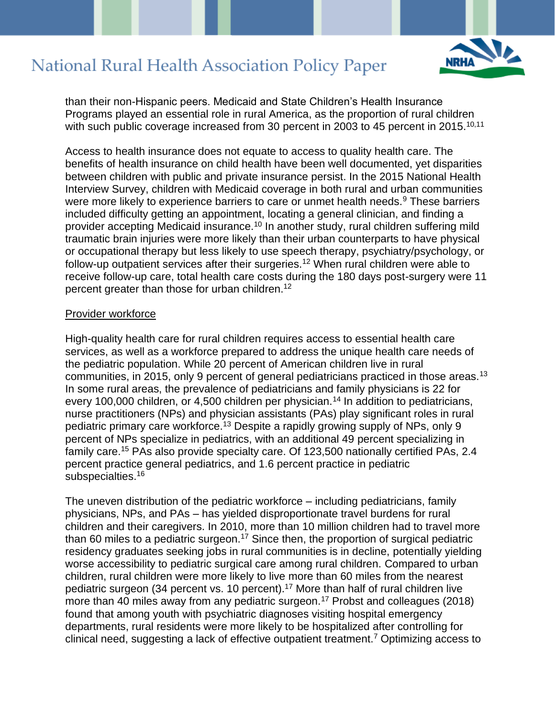

than their non-Hispanic peers. Medicaid and State Children's Health Insurance Programs played an essential role in rural America, as the proportion of rural children with such public coverage increased from 30 percent in 2003 to 45 percent in 2015.<sup>10,11</sup>

Access to health insurance does not equate to access to quality health care. The benefits of health insurance on child health have been well documented, yet disparities between children with public and private insurance persist. In the 2015 National Health Interview Survey, children with Medicaid coverage in both rural and urban communities were more likely to experience barriers to care or unmet health needs.<sup>9</sup> These barriers included difficulty getting an appointment, locating a general clinician, and finding a provider accepting Medicaid insurance.<sup>10</sup> In another study, rural children suffering mild traumatic brain injuries were more likely than their urban counterparts to have physical or occupational therapy but less likely to use speech therapy, psychiatry/psychology, or follow-up outpatient services after their surgeries.<sup>12</sup> When rural children were able to receive follow-up care, total health care costs during the 180 days post-surgery were 11 percent greater than those for urban children.<sup>12</sup>

#### Provider workforce

High-quality health care for rural children requires access to essential health care services, as well as a workforce prepared to address the unique health care needs of the pediatric population. While 20 percent of American children live in rural communities, in 2015, only 9 percent of general pediatricians practiced in those areas.<sup>13</sup> In some rural areas, the prevalence of pediatricians and family physicians is 22 for every 100,000 children, or 4,500 children per physician.<sup>14</sup> In addition to pediatricians, nurse practitioners (NPs) and physician assistants (PAs) play significant roles in rural pediatric primary care workforce.<sup>13</sup> Despite a rapidly growing supply of NPs, only 9 percent of NPs specialize in pediatrics, with an additional 49 percent specializing in family care.<sup>15</sup> PAs also provide specialty care. Of 123,500 nationally certified PAs, 2.4 percent practice general pediatrics, and 1.6 percent practice in pediatric subspecialties.<sup>16</sup>

The uneven distribution of the pediatric workforce – including pediatricians, family physicians, NPs, and PAs – has yielded disproportionate travel burdens for rural children and their caregivers. In 2010, more than 10 million children had to travel more than 60 miles to a pediatric surgeon.<sup>17</sup> Since then, the proportion of surgical pediatric residency graduates seeking jobs in rural communities is in decline, potentially yielding worse accessibility to pediatric surgical care among rural children. Compared to urban children, rural children were more likely to live more than 60 miles from the nearest pediatric surgeon (34 percent vs. 10 percent).<sup>17</sup> More than half of rural children live more than 40 miles away from any pediatric surgeon.<sup>17</sup> Probst and colleagues (2018) found that among youth with psychiatric diagnoses visiting hospital emergency departments, rural residents were more likely to be hospitalized after controlling for clinical need, suggesting a lack of effective outpatient treatment.<sup>7</sup> Optimizing access to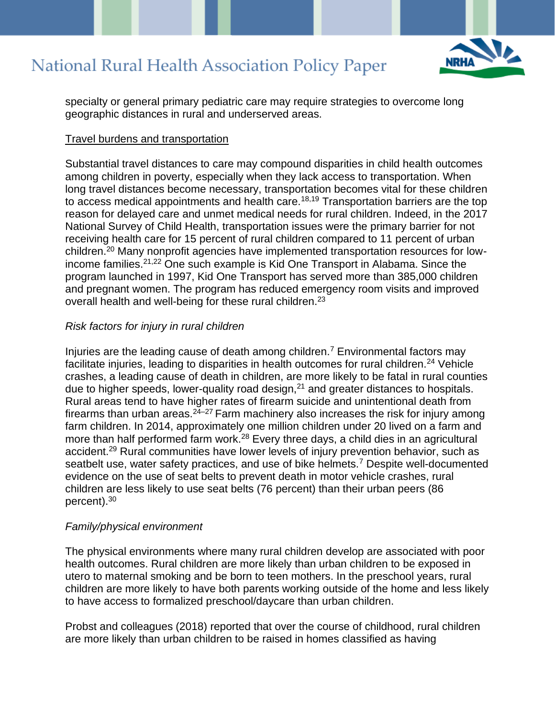

specialty or general primary pediatric care may require strategies to overcome long geographic distances in rural and underserved areas.

#### Travel burdens and transportation

Substantial travel distances to care may compound disparities in child health outcomes among children in poverty, especially when they lack access to transportation. When long travel distances become necessary, transportation becomes vital for these children to access medical appointments and health care.<sup>18,19</sup> Transportation barriers are the top reason for delayed care and unmet medical needs for rural children. Indeed, in the 2017 National Survey of Child Health, transportation issues were the primary barrier for not receiving health care for 15 percent of rural children compared to 11 percent of urban children.<sup>20</sup> Many nonprofit agencies have implemented transportation resources for lowincome families.21,22 One such example is Kid One Transport in Alabama. Since the program launched in 1997, Kid One Transport has served more than 385,000 children and pregnant women. The program has reduced emergency room visits and improved overall health and well-being for these rural children.<sup>23</sup>

#### *Risk factors for injury in rural children*

Injuries are the leading cause of death among children.<sup>7</sup> Environmental factors may facilitate injuries, leading to disparities in health outcomes for rural children.<sup>24</sup> Vehicle crashes, a leading cause of death in children, are more likely to be fatal in rural counties due to higher speeds, lower-quality road design, $21$  and greater distances to hospitals. Rural areas tend to have higher rates of firearm suicide and unintentional death from firearms than urban areas. $24-27$  Farm machinery also increases the risk for injury among farm children. In 2014, approximately one million children under 20 lived on a farm and more than half performed farm work.<sup>28</sup> Every three days, a child dies in an agricultural accident.<sup>29</sup> Rural communities have lower levels of injury prevention behavior, such as seatbelt use, water safety practices, and use of bike helmets.<sup>7</sup> Despite well-documented evidence on the use of seat belts to prevent death in motor vehicle crashes, rural children are less likely to use seat belts (76 percent) than their urban peers (86 percent).<sup>30</sup>

#### *Family/physical environment*

The physical environments where many rural children develop are associated with poor health outcomes. Rural children are more likely than urban children to be exposed in utero to maternal smoking and be born to teen mothers. In the preschool years, rural children are more likely to have both parents working outside of the home and less likely to have access to formalized preschool/daycare than urban children.

Probst and colleagues (2018) reported that over the course of childhood, rural children are more likely than urban children to be raised in homes classified as having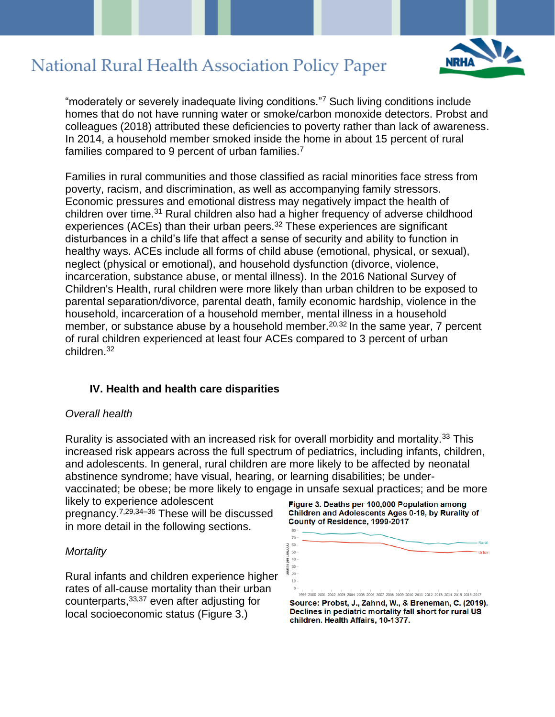

"moderately or severely inadequate living conditions."<sup>7</sup> Such living conditions include homes that do not have running water or smoke/carbon monoxide detectors. Probst and colleagues (2018) attributed these deficiencies to poverty rather than lack of awareness. In 2014, a household member smoked inside the home in about 15 percent of rural families compared to 9 percent of urban families.<sup>7</sup>

Families in rural communities and those classified as racial minorities face stress from poverty, racism, and discrimination, as well as accompanying family stressors. Economic pressures and emotional distress may negatively impact the health of children over time.<sup>31</sup> Rural children also had a higher frequency of adverse childhood experiences (ACEs) than their urban peers.<sup>32</sup> These experiences are significant disturbances in a child's life that affect a sense of security and ability to function in healthy ways. ACEs include all forms of child abuse (emotional, physical, or sexual), neglect (physical or emotional), and household dysfunction (divorce, violence, incarceration, substance abuse, or mental illness). In the 2016 National Survey of Children's Health, rural children were more likely than urban children to be exposed to parental separation/divorce, parental death, family economic hardship, violence in the household, incarceration of a household member, mental illness in a household member, or substance abuse by a household member.<sup>20,32</sup> In the same year, 7 percent of rural children experienced at least four ACEs compared to 3 percent of urban children.<sup>32</sup>

#### **IV. Health and health care disparities**

#### *Overall health*

Rurality is associated with an increased risk for overall morbidity and mortality.<sup>33</sup> This increased risk appears across the full spectrum of pediatrics, including infants, children, and adolescents. In general, rural children are more likely to be affected by neonatal abstinence syndrome; have visual, hearing, or learning disabilities; be undervaccinated; be obese; be more likely to engage in unsafe sexual practices; and be more

likely to experience adolescent pregnancy.7,29,34–36 These will be discussed in more detail in the following sections.

#### *Mortality*

Rural infants and children experience higher rates of all-cause mortality than their urban counterparts,33,37 even after adjusting for local socioeconomic status (Figure 3.)



Figure 3. Deaths per 100,000 Population among Children and Adolescents Ages 0-19, by Rurality of

County of Residence, 1999-2017

Source: Probst, J., Zahnd, W., & Breneman, C. (2019). Declines in pediatric mortality fall short for rural US children. Health Affairs, 10-1377.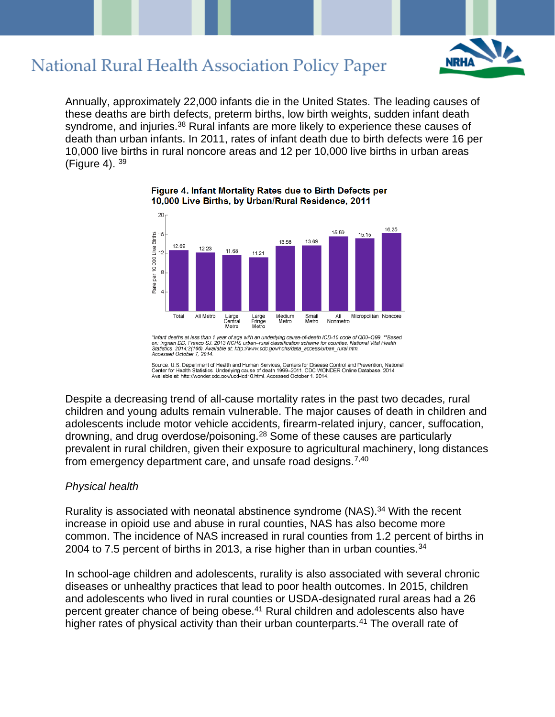

Annually, approximately 22,000 infants die in the United States. The leading causes of these deaths are birth defects, preterm births, low birth weights, sudden infant death syndrome, and injuries.<sup>38</sup> Rural infants are more likely to experience these causes of death than urban infants. In 2011, rates of infant death due to birth defects were 16 per 10,000 live births in rural noncore areas and 12 per 10,000 live births in urban areas (Figure 4). <sup>39</sup>



Figure 4. Infant Mortality Rates due to Birth Defects per 10,000 Live Births, by Urban/Rural Residence, 2011

\*Infant deaths at less than 1 year of age with an underlying cause-of-death ICD-10 code of Q00–Q99. \*\*Based<br>on: Ingram DD, Franco SJ. 2013 NCHS urban–rural classification scheme for counties. National Vital Health<br>Statisti

Source: U.S. Department of Health and Human Services, Centers for Disease Control and Prevention, National<br>Center for Health Statistics. Underlying cause of death 1999–2011. CDC WONDER Online Database. 2014.<br>Available at:

Despite a decreasing trend of all-cause mortality rates in the past two decades, rural children and young adults remain vulnerable. The major causes of death in children and adolescents include motor vehicle accidents, firearm-related injury, cancer, suffocation, drowning, and drug overdose/poisoning.<sup>28</sup> Some of these causes are particularly prevalent in rural children, given their exposure to agricultural machinery, long distances from emergency department care, and unsafe road designs.7,40

#### *Physical health*

Rurality is associated with neonatal abstinence syndrome (NAS).<sup>34</sup> With the recent increase in opioid use and abuse in rural counties, NAS has also become more common. The incidence of NAS increased in rural counties from 1.2 percent of births in 2004 to 7.5 percent of births in 2013, a rise higher than in urban counties.<sup>34</sup>

In school-age children and adolescents, rurality is also associated with several chronic diseases or unhealthy practices that lead to poor health outcomes. In 2015, children and adolescents who lived in rural counties or USDA-designated rural areas had a 26 percent greater chance of being obese.<sup>41</sup> Rural children and adolescents also have higher rates of physical activity than their urban counterparts.<sup>41</sup> The overall rate of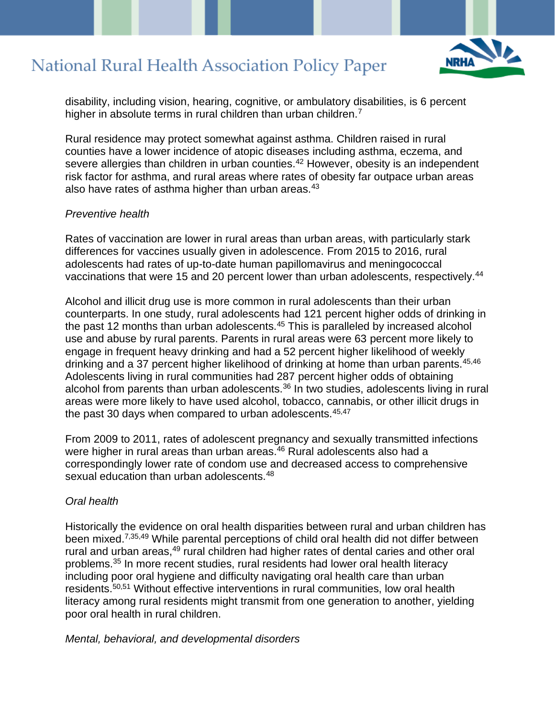

disability, including vision, hearing, cognitive, or ambulatory disabilities, is 6 percent higher in absolute terms in rural children than urban children.<sup>7</sup>

Rural residence may protect somewhat against asthma. Children raised in rural counties have a lower incidence of atopic diseases including asthma, eczema, and severe allergies than children in urban counties.<sup>42</sup> However, obesity is an independent risk factor for asthma, and rural areas where rates of obesity far outpace urban areas also have rates of asthma higher than urban areas.<sup>43</sup>

#### *Preventive health*

Rates of vaccination are lower in rural areas than urban areas, with particularly stark differences for vaccines usually given in adolescence. From 2015 to 2016, rural adolescents had rates of up-to-date human papillomavirus and meningococcal vaccinations that were 15 and 20 percent lower than urban adolescents, respectively.<sup>44</sup>

Alcohol and illicit drug use is more common in rural adolescents than their urban counterparts. In one study, rural adolescents had 121 percent higher odds of drinking in the past 12 months than urban adolescents.<sup>45</sup> This is paralleled by increased alcohol use and abuse by rural parents. Parents in rural areas were 63 percent more likely to engage in frequent heavy drinking and had a 52 percent higher likelihood of weekly drinking and a 37 percent higher likelihood of drinking at home than urban parents.<sup>45,46</sup> Adolescents living in rural communities had 287 percent higher odds of obtaining alcohol from parents than urban adolescents. $36$  In two studies, adolescents living in rural areas were more likely to have used alcohol, tobacco, cannabis, or other illicit drugs in the past 30 days when compared to urban adolescents.<sup>45,47</sup>

From 2009 to 2011, rates of adolescent pregnancy and sexually transmitted infections were higher in rural areas than urban areas.<sup>46</sup> Rural adolescents also had a correspondingly lower rate of condom use and decreased access to comprehensive sexual education than urban adolescents.<sup>48</sup>

#### *Oral health*

Historically the evidence on oral health disparities between rural and urban children has been mixed.7,35,49 While parental perceptions of child oral health did not differ between rural and urban areas,<sup>49</sup> rural children had higher rates of dental caries and other oral problems.<sup>35</sup> In more recent studies, rural residents had lower oral health literacy including poor oral hygiene and difficulty navigating oral health care than urban residents.<sup>50,51</sup> Without effective interventions in rural communities, low oral health literacy among rural residents might transmit from one generation to another, yielding poor oral health in rural children.

*Mental, behavioral, and developmental disorders*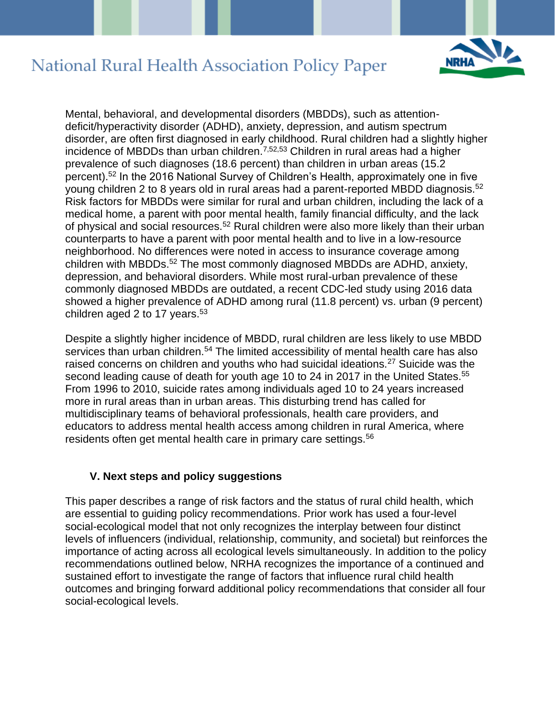

Mental, behavioral, and developmental disorders (MBDDs), such as attentiondeficit/hyperactivity disorder (ADHD), anxiety, depression, and autism spectrum disorder, are often first diagnosed in early childhood. Rural children had a slightly higher incidence of MBDDs than urban children.7,52,53 Children in rural areas had a higher prevalence of such diagnoses (18.6 percent) than children in urban areas (15.2 percent).<sup>52</sup> In the 2016 National Survey of Children's Health, approximately one in five young children 2 to 8 years old in rural areas had a parent-reported MBDD diagnosis.<sup>52</sup> Risk factors for MBDDs were similar for rural and urban children, including the lack of a medical home, a parent with poor mental health, family financial difficulty, and the lack of physical and social resources.<sup>52</sup> Rural children were also more likely than their urban counterparts to have a parent with poor mental health and to live in a low-resource neighborhood. No differences were noted in access to insurance coverage among children with MBDDs.<sup>52</sup> The most commonly diagnosed MBDDs are ADHD, anxiety, depression, and behavioral disorders. While most rural-urban prevalence of these commonly diagnosed MBDDs are outdated, a recent CDC-led study using 2016 data showed a higher prevalence of ADHD among rural (11.8 percent) vs. urban (9 percent) children aged 2 to 17 years. $53$ 

Despite a slightly higher incidence of MBDD, rural children are less likely to use MBDD services than urban children.<sup>54</sup> The limited accessibility of mental health care has also raised concerns on children and youths who had suicidal ideations.<sup>27</sup> Suicide was the second leading cause of death for youth age 10 to 24 in 2017 in the United States.<sup>55</sup> From 1996 to 2010, suicide rates among individuals aged 10 to 24 years increased more in rural areas than in urban areas. This disturbing trend has called for multidisciplinary teams of behavioral professionals, health care providers, and educators to address mental health access among children in rural America, where residents often get mental health care in primary care settings.<sup>56</sup>

#### **V. Next steps and policy suggestions**

This paper describes a range of risk factors and the status of rural child health, which are essential to guiding policy recommendations. Prior work has used a four-level social-ecological model that not only recognizes the interplay between four distinct levels of influencers (individual, relationship, community, and societal) but reinforces the importance of acting across all ecological levels simultaneously. In addition to the policy recommendations outlined below, NRHA recognizes the importance of a continued and sustained effort to investigate the range of factors that influence rural child health outcomes and bringing forward additional policy recommendations that consider all four social-ecological levels.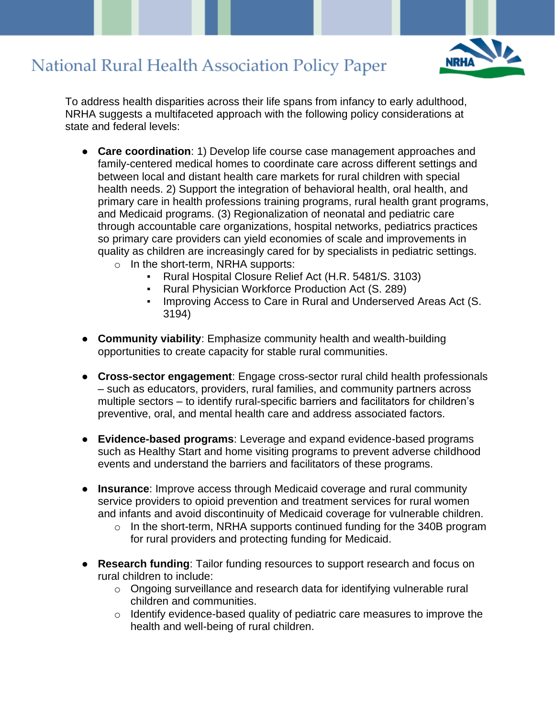

To address health disparities across their life spans from infancy to early adulthood, NRHA suggests a multifaceted approach with the following policy considerations at state and federal levels:

- **Care coordination**: 1) Develop life course case management approaches and family-centered medical homes to coordinate care across different settings and between local and distant health care markets for rural children with special health needs. 2) Support the integration of behavioral health, oral health, and primary care in health professions training programs, rural health grant programs, and Medicaid programs. (3) Regionalization of neonatal and pediatric care through accountable care organizations, hospital networks, pediatrics practices so primary care providers can yield economies of scale and improvements in quality as children are increasingly cared for by specialists in pediatric settings.
	- o In the short-term, NRHA supports:
		- Rural Hospital Closure Relief Act (H.R. 5481/S. 3103)
		- Rural Physician Workforce Production Act (S. 289)
		- Improving Access to Care in Rural and Underserved Areas Act (S. 3194)
- **Community viability**: Emphasize community health and wealth-building opportunities to create capacity for stable rural communities.
- **Cross-sector engagement**: Engage cross-sector rural child health professionals – such as educators, providers, rural families, and community partners across multiple sectors – to identify rural-specific barriers and facilitators for children's preventive, oral, and mental health care and address associated factors.
- **Evidence-based programs**: Leverage and expand evidence-based programs such as Healthy Start and home visiting programs to prevent adverse childhood events and understand the barriers and facilitators of these programs.
- **Insurance**: Improve access through Medicaid coverage and rural community service providers to opioid prevention and treatment services for rural women and infants and avoid discontinuity of Medicaid coverage for vulnerable children.
	- $\circ$  In the short-term, NRHA supports continued funding for the 340B program for rural providers and protecting funding for Medicaid.
- **Research funding**: Tailor funding resources to support research and focus on rural children to include:
	- o Ongoing surveillance and research data for identifying vulnerable rural children and communities.
	- o Identify evidence-based quality of pediatric care measures to improve the health and well-being of rural children.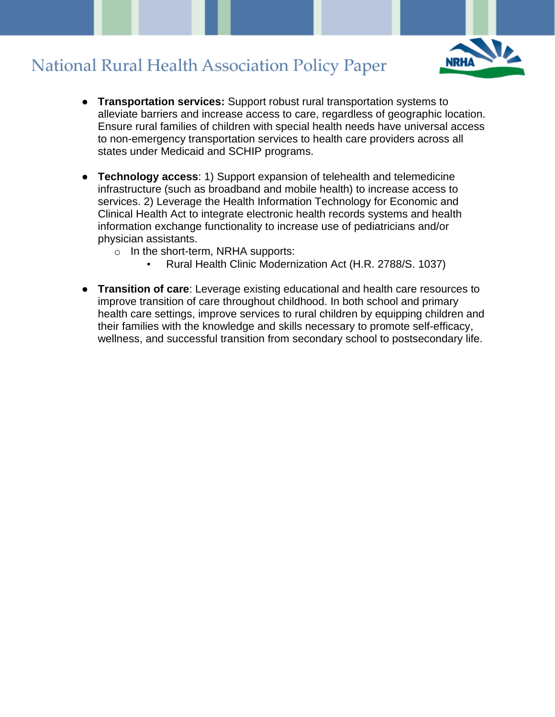

- **Transportation services:** Support robust rural transportation systems to alleviate barriers and increase access to care, regardless of geographic location. Ensure rural families of children with special health needs have universal access to non-emergency transportation services to health care providers across all states under Medicaid and SCHIP programs.
- **Technology access**: 1) Support expansion of telehealth and telemedicine infrastructure (such as broadband and mobile health) to increase access to services. 2) Leverage the Health Information Technology for Economic and Clinical Health Act to integrate electronic health records systems and health information exchange functionality to increase use of pediatricians and/or physician assistants.
	- $\circ$  In the short-term, NRHA supports:
		- Rural Health Clinic Modernization Act (H.R. 2788/S. 1037)
- **Transition of care**: Leverage existing educational and health care resources to improve transition of care throughout childhood. In both school and primary health care settings, improve services to rural children by equipping children and their families with the knowledge and skills necessary to promote self-efficacy, wellness, and successful transition from secondary school to postsecondary life.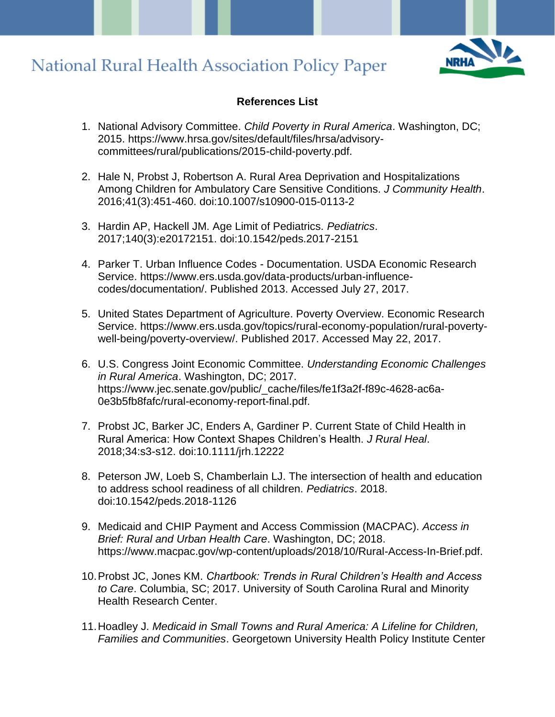

#### **References List**

- 1. National Advisory Committee. *Child Poverty in Rural America*. Washington, DC; 2015. https://www.hrsa.gov/sites/default/files/hrsa/advisorycommittees/rural/publications/2015-child-poverty.pdf.
- 2. Hale N, Probst J, Robertson A. Rural Area Deprivation and Hospitalizations Among Children for Ambulatory Care Sensitive Conditions. *J Community Health*. 2016;41(3):451-460. doi:10.1007/s10900-015-0113-2
- 3. Hardin AP, Hackell JM. Age Limit of Pediatrics. *Pediatrics*. 2017;140(3):e20172151. doi:10.1542/peds.2017-2151
- 4. Parker T. Urban Influence Codes Documentation. USDA Economic Research Service. https://www.ers.usda.gov/data-products/urban-influencecodes/documentation/. Published 2013. Accessed July 27, 2017.
- 5. United States Department of Agriculture. Poverty Overview. Economic Research Service. https://www.ers.usda.gov/topics/rural-economy-population/rural-povertywell-being/poverty-overview/. Published 2017. Accessed May 22, 2017.
- 6. U.S. Congress Joint Economic Committee. *Understanding Economic Challenges in Rural America*. Washington, DC; 2017. https://www.jec.senate.gov/public/\_cache/files/fe1f3a2f-f89c-4628-ac6a-0e3b5fb8fafc/rural-economy-report-final.pdf.
- 7. Probst JC, Barker JC, Enders A, Gardiner P. Current State of Child Health in Rural America: How Context Shapes Children's Health. *J Rural Heal*. 2018;34:s3-s12. doi:10.1111/jrh.12222
- 8. Peterson JW, Loeb S, Chamberlain LJ. The intersection of health and education to address school readiness of all children. *Pediatrics*. 2018. doi:10.1542/peds.2018-1126
- 9. Medicaid and CHIP Payment and Access Commission (MACPAC). *Access in Brief: Rural and Urban Health Care*. Washington, DC; 2018. https://www.macpac.gov/wp-content/uploads/2018/10/Rural-Access-In-Brief.pdf.
- 10.Probst JC, Jones KM. *Chartbook: Trends in Rural Children's Health and Access to Care*. Columbia, SC; 2017. University of South Carolina Rural and Minority Health Research Center.
- 11.Hoadley J. *Medicaid in Small Towns and Rural America: A Lifeline for Children, Families and Communities*. Georgetown University Health Policy Institute Center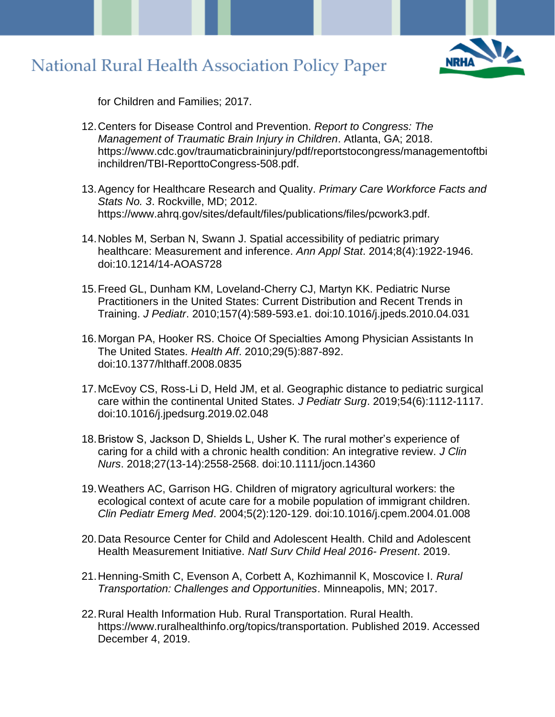

for Children and Families; 2017.

- 12.Centers for Disease Control and Prevention. *Report to Congress: The Management of Traumatic Brain Injury in Children*. Atlanta, GA; 2018. https://www.cdc.gov/traumaticbraininjury/pdf/reportstocongress/managementoftbi inchildren/TBI-ReporttoCongress-508.pdf.
- 13.Agency for Healthcare Research and Quality. *Primary Care Workforce Facts and Stats No. 3*. Rockville, MD; 2012. https://www.ahrq.gov/sites/default/files/publications/files/pcwork3.pdf.
- 14.Nobles M, Serban N, Swann J. Spatial accessibility of pediatric primary healthcare: Measurement and inference. *Ann Appl Stat*. 2014;8(4):1922-1946. doi:10.1214/14-AOAS728
- 15.Freed GL, Dunham KM, Loveland-Cherry CJ, Martyn KK. Pediatric Nurse Practitioners in the United States: Current Distribution and Recent Trends in Training. *J Pediatr*. 2010;157(4):589-593.e1. doi:10.1016/j.jpeds.2010.04.031
- 16.Morgan PA, Hooker RS. Choice Of Specialties Among Physician Assistants In The United States. *Health Aff*. 2010;29(5):887-892. doi:10.1377/hlthaff.2008.0835
- 17.McEvoy CS, Ross-Li D, Held JM, et al. Geographic distance to pediatric surgical care within the continental United States. *J Pediatr Surg*. 2019;54(6):1112-1117. doi:10.1016/j.jpedsurg.2019.02.048
- 18.Bristow S, Jackson D, Shields L, Usher K. The rural mother's experience of caring for a child with a chronic health condition: An integrative review. *J Clin Nurs*. 2018;27(13-14):2558-2568. doi:10.1111/jocn.14360
- 19.Weathers AC, Garrison HG. Children of migratory agricultural workers: the ecological context of acute care for a mobile population of immigrant children. *Clin Pediatr Emerg Med*. 2004;5(2):120-129. doi:10.1016/j.cpem.2004.01.008
- 20.Data Resource Center for Child and Adolescent Health. Child and Adolescent Health Measurement Initiative. *Natl Surv Child Heal 2016- Present*. 2019.
- 21.Henning-Smith C, Evenson A, Corbett A, Kozhimannil K, Moscovice I. *Rural Transportation: Challenges and Opportunities*. Minneapolis, MN; 2017.
- 22.Rural Health Information Hub. Rural Transportation. Rural Health. https://www.ruralhealthinfo.org/topics/transportation. Published 2019. Accessed December 4, 2019.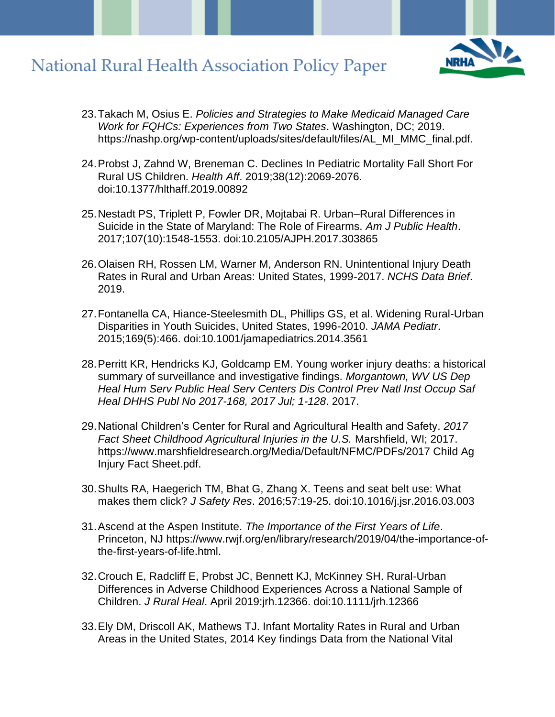- 23.Takach M, Osius E. *Policies and Strategies to Make Medicaid Managed Care Work for FQHCs: Experiences from Two States*. Washington, DC; 2019. https://nashp.org/wp-content/uploads/sites/default/files/AL\_MI\_MMC\_final.pdf.
- 24.Probst J, Zahnd W, Breneman C. Declines In Pediatric Mortality Fall Short For Rural US Children. *Health Aff*. 2019;38(12):2069-2076. doi:10.1377/hlthaff.2019.00892
- 25.Nestadt PS, Triplett P, Fowler DR, Mojtabai R. Urban–Rural Differences in Suicide in the State of Maryland: The Role of Firearms. *Am J Public Health*. 2017;107(10):1548-1553. doi:10.2105/AJPH.2017.303865
- 26.Olaisen RH, Rossen LM, Warner M, Anderson RN. Unintentional Injury Death Rates in Rural and Urban Areas: United States, 1999-2017. *NCHS Data Brief*. 2019.
- 27.Fontanella CA, Hiance-Steelesmith DL, Phillips GS, et al. Widening Rural-Urban Disparities in Youth Suicides, United States, 1996-2010. *JAMA Pediatr*. 2015;169(5):466. doi:10.1001/jamapediatrics.2014.3561
- 28.Perritt KR, Hendricks KJ, Goldcamp EM. Young worker injury deaths: a historical summary of surveillance and investigative findings. *Morgantown, WV US Dep Heal Hum Serv Public Heal Serv Centers Dis Control Prev Natl Inst Occup Saf Heal DHHS Publ No 2017-168, 2017 Jul; 1-128*. 2017.
- 29.National Children's Center for Rural and Agricultural Health and Safety. *2017 Fact Sheet Childhood Agricultural Injuries in the U.S.* Marshfield, WI; 2017. https://www.marshfieldresearch.org/Media/Default/NFMC/PDFs/2017 Child Ag Injury Fact Sheet.pdf.
- 30.Shults RA, Haegerich TM, Bhat G, Zhang X. Teens and seat belt use: What makes them click? *J Safety Res*. 2016;57:19-25. doi:10.1016/j.jsr.2016.03.003
- 31.Ascend at the Aspen Institute. *The Importance of the First Years of Life*. Princeton, NJ https://www.rwjf.org/en/library/research/2019/04/the-importance-ofthe-first-years-of-life.html.
- 32.Crouch E, Radcliff E, Probst JC, Bennett KJ, McKinney SH. Rural‐Urban Differences in Adverse Childhood Experiences Across a National Sample of Children. *J Rural Heal*. April 2019:jrh.12366. doi:10.1111/jrh.12366
- 33.Ely DM, Driscoll AK, Mathews TJ. Infant Mortality Rates in Rural and Urban Areas in the United States, 2014 Key findings Data from the National Vital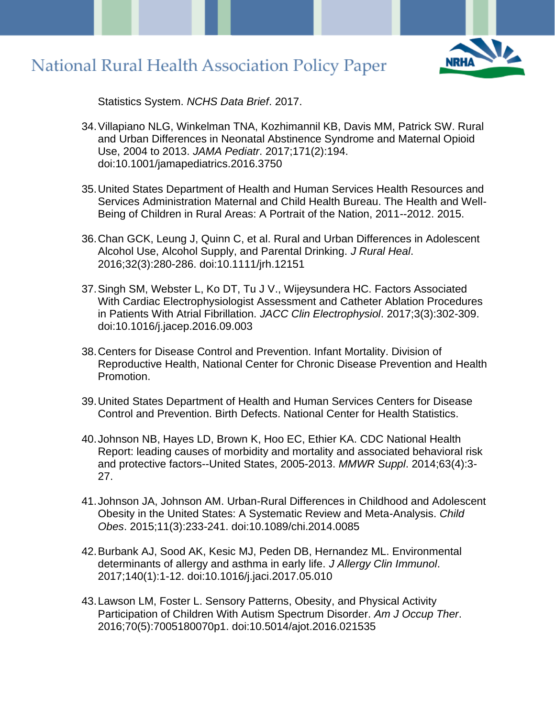

Statistics System. *NCHS Data Brief*. 2017.

- 34.Villapiano NLG, Winkelman TNA, Kozhimannil KB, Davis MM, Patrick SW. Rural and Urban Differences in Neonatal Abstinence Syndrome and Maternal Opioid Use, 2004 to 2013. *JAMA Pediatr*. 2017;171(2):194. doi:10.1001/jamapediatrics.2016.3750
- 35.United States Department of Health and Human Services Health Resources and Services Administration Maternal and Child Health Bureau. The Health and Well-Being of Children in Rural Areas: A Portrait of the Nation, 2011--2012. 2015.
- 36.Chan GCK, Leung J, Quinn C, et al. Rural and Urban Differences in Adolescent Alcohol Use, Alcohol Supply, and Parental Drinking. *J Rural Heal*. 2016;32(3):280-286. doi:10.1111/jrh.12151
- 37.Singh SM, Webster L, Ko DT, Tu J V., Wijeysundera HC. Factors Associated With Cardiac Electrophysiologist Assessment and Catheter Ablation Procedures in Patients With Atrial Fibrillation. *JACC Clin Electrophysiol*. 2017;3(3):302-309. doi:10.1016/j.jacep.2016.09.003
- 38.Centers for Disease Control and Prevention. Infant Mortality. Division of Reproductive Health, National Center for Chronic Disease Prevention and Health Promotion.
- 39.United States Department of Health and Human Services Centers for Disease Control and Prevention. Birth Defects. National Center for Health Statistics.
- 40.Johnson NB, Hayes LD, Brown K, Hoo EC, Ethier KA. CDC National Health Report: leading causes of morbidity and mortality and associated behavioral risk and protective factors--United States, 2005-2013. *MMWR Suppl*. 2014;63(4):3- 27.
- 41.Johnson JA, Johnson AM. Urban-Rural Differences in Childhood and Adolescent Obesity in the United States: A Systematic Review and Meta-Analysis. *Child Obes*. 2015;11(3):233-241. doi:10.1089/chi.2014.0085
- 42.Burbank AJ, Sood AK, Kesic MJ, Peden DB, Hernandez ML. Environmental determinants of allergy and asthma in early life. *J Allergy Clin Immunol*. 2017;140(1):1-12. doi:10.1016/j.jaci.2017.05.010
- 43.Lawson LM, Foster L. Sensory Patterns, Obesity, and Physical Activity Participation of Children With Autism Spectrum Disorder. *Am J Occup Ther*. 2016;70(5):7005180070p1. doi:10.5014/ajot.2016.021535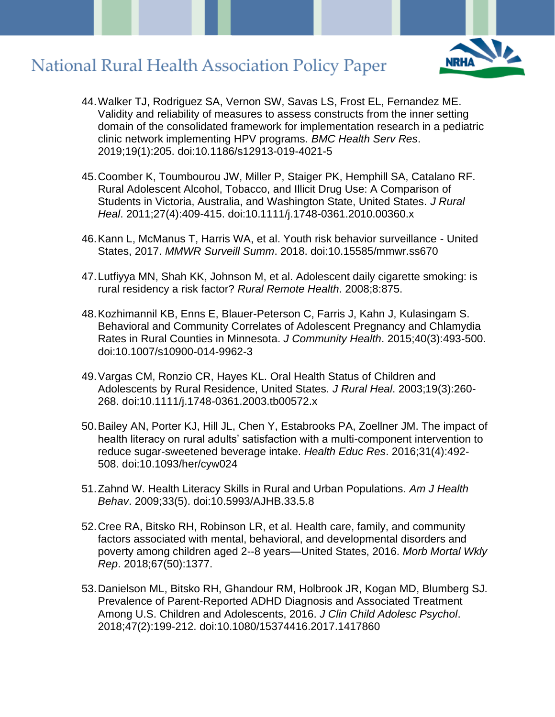

- 44.Walker TJ, Rodriguez SA, Vernon SW, Savas LS, Frost EL, Fernandez ME. Validity and reliability of measures to assess constructs from the inner setting domain of the consolidated framework for implementation research in a pediatric clinic network implementing HPV programs. *BMC Health Serv Res*. 2019;19(1):205. doi:10.1186/s12913-019-4021-5
- 45.Coomber K, Toumbourou JW, Miller P, Staiger PK, Hemphill SA, Catalano RF. Rural Adolescent Alcohol, Tobacco, and Illicit Drug Use: A Comparison of Students in Victoria, Australia, and Washington State, United States. *J Rural Heal*. 2011;27(4):409-415. doi:10.1111/j.1748-0361.2010.00360.x
- 46.Kann L, McManus T, Harris WA, et al. Youth risk behavior surveillance United States, 2017. *MMWR Surveill Summ*. 2018. doi:10.15585/mmwr.ss670
- 47.Lutfiyya MN, Shah KK, Johnson M, et al. Adolescent daily cigarette smoking: is rural residency a risk factor? *Rural Remote Health*. 2008;8:875.
- 48.Kozhimannil KB, Enns E, Blauer-Peterson C, Farris J, Kahn J, Kulasingam S. Behavioral and Community Correlates of Adolescent Pregnancy and Chlamydia Rates in Rural Counties in Minnesota. *J Community Health*. 2015;40(3):493-500. doi:10.1007/s10900-014-9962-3
- 49.Vargas CM, Ronzio CR, Hayes KL. Oral Health Status of Children and Adolescents by Rural Residence, United States. *J Rural Heal*. 2003;19(3):260- 268. doi:10.1111/j.1748-0361.2003.tb00572.x
- 50.Bailey AN, Porter KJ, Hill JL, Chen Y, Estabrooks PA, Zoellner JM. The impact of health literacy on rural adults' satisfaction with a multi-component intervention to reduce sugar-sweetened beverage intake. *Health Educ Res*. 2016;31(4):492- 508. doi:10.1093/her/cyw024
- 51.Zahnd W. Health Literacy Skills in Rural and Urban Populations. *Am J Health Behav*. 2009;33(5). doi:10.5993/AJHB.33.5.8
- 52.Cree RA, Bitsko RH, Robinson LR, et al. Health care, family, and community factors associated with mental, behavioral, and developmental disorders and poverty among children aged 2--8 years—United States, 2016. *Morb Mortal Wkly Rep*. 2018;67(50):1377.
- 53.Danielson ML, Bitsko RH, Ghandour RM, Holbrook JR, Kogan MD, Blumberg SJ. Prevalence of Parent-Reported ADHD Diagnosis and Associated Treatment Among U.S. Children and Adolescents, 2016. *J Clin Child Adolesc Psychol*. 2018;47(2):199-212. doi:10.1080/15374416.2017.1417860